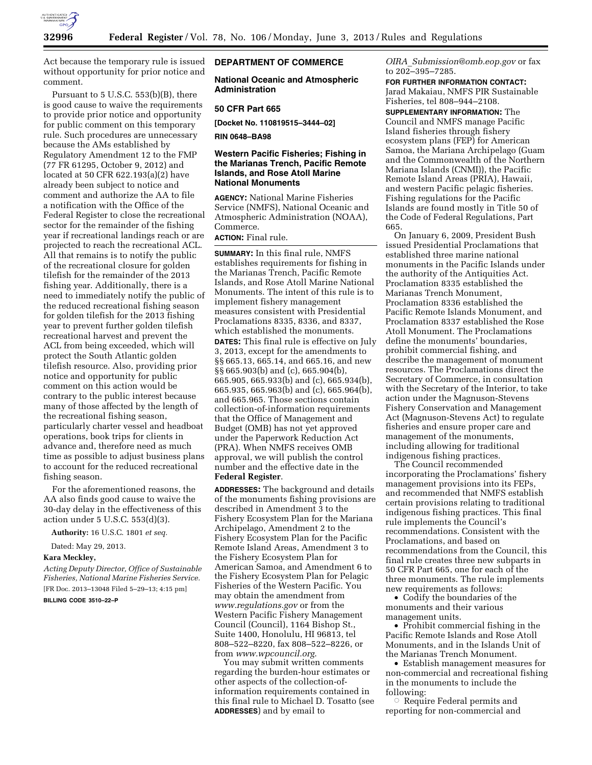

Act because the temporary rule is issued without opportunity for prior notice and comment.

Pursuant to 5 U.S.C. 553(b)(B), there is good cause to waive the requirements to provide prior notice and opportunity for public comment on this temporary rule. Such procedures are unnecessary because the AMs established by Regulatory Amendment 12 to the FMP (77 FR 61295, October 9, 2012) and located at 50 CFR 622.193(a)(2) have already been subject to notice and comment and authorize the AA to file a notification with the Office of the Federal Register to close the recreational sector for the remainder of the fishing year if recreational landings reach or are projected to reach the recreational ACL. All that remains is to notify the public of the recreational closure for golden tilefish for the remainder of the 2013 fishing year. Additionally, there is a need to immediately notify the public of the reduced recreational fishing season for golden tilefish for the 2013 fishing year to prevent further golden tilefish recreational harvest and prevent the ACL from being exceeded, which will protect the South Atlantic golden tilefish resource. Also, providing prior notice and opportunity for public comment on this action would be contrary to the public interest because many of those affected by the length of the recreational fishing season, particularly charter vessel and headboat operations, book trips for clients in advance and, therefore need as much time as possible to adjust business plans to account for the reduced recreational fishing season.

For the aforementioned reasons, the AA also finds good cause to waive the 30-day delay in the effectiveness of this action under 5 U.S.C. 553(d)(3).

**Authority:** 16 U.S.C. 1801 *et seq.* 

Dated: May 29, 2013.

### **Kara Meckley,**

*Acting Deputy Director, Office of Sustainable Fisheries, National Marine Fisheries Service.*  [FR Doc. 2013–13048 Filed 5–29–13; 4:15 pm]

## **BILLING CODE 3510–22–P**

## **DEPARTMENT OF COMMERCE**

**National Oceanic and Atmospheric Administration** 

### **50 CFR Part 665**

**[Docket No. 110819515–3444–02]** 

**RIN 0648–BA98** 

# **Western Pacific Fisheries; Fishing in the Marianas Trench, Pacific Remote Islands, and Rose Atoll Marine National Monuments**

**AGENCY:** National Marine Fisheries Service (NMFS), National Oceanic and Atmospheric Administration (NOAA), Commerce.

**ACTION:** Final rule.

**SUMMARY:** In this final rule, NMFS establishes requirements for fishing in the Marianas Trench, Pacific Remote Islands, and Rose Atoll Marine National Monuments. The intent of this rule is to implement fishery management measures consistent with Presidential Proclamations 8335, 8336, and 8337, which established the monuments. **DATES:** This final rule is effective on July 3, 2013, except for the amendments to §§ 665.13, 665.14, and 665.16, and new §§ 665.903(b) and (c), 665.904(b), 665.905, 665.933(b) and (c), 665.934(b), 665.935, 665.963(b) and (c), 665.964(b), and 665.965. Those sections contain collection-of-information requirements that the Office of Management and Budget (OMB) has not yet approved under the Paperwork Reduction Act (PRA). When NMFS receives OMB approval, we will publish the control number and the effective date in the **Federal Register**.

**ADDRESSES:** The background and details of the monuments fishing provisions are described in Amendment 3 to the Fishery Ecosystem Plan for the Mariana Archipelago, Amendment 2 to the Fishery Ecosystem Plan for the Pacific Remote Island Areas, Amendment 3 to the Fishery Ecosystem Plan for American Samoa, and Amendment 6 to the Fishery Ecosystem Plan for Pelagic Fisheries of the Western Pacific. You may obtain the amendment from *[www.regulations.gov](http://www.regulations.gov)* or from the Western Pacific Fishery Management Council (Council), 1164 Bishop St., Suite 1400, Honolulu, HI 96813, tel 808–522–8220, fax 808–522–8226, or from *[www.wpcouncil.org](http://www.wpcouncil.org)*.

You may submit written comments regarding the burden-hour estimates or other aspects of the collection-ofinformation requirements contained in this final rule to Michael D. Tosatto (see **ADDRESSES**) and by email to

*OIRA*\_*[Submission@omb.eop.gov](mailto:OIRA_Submission@omb.eop.gov)* or fax to 202–395–7285.

**FOR FURTHER INFORMATION CONTACT:**  Jarad Makaiau, NMFS PIR Sustainable Fisheries, tel 808–944–2108.

**SUPPLEMENTARY INFORMATION:** The Council and NMFS manage Pacific Island fisheries through fishery ecosystem plans (FEP) for American Samoa, the Mariana Archipelago (Guam and the Commonwealth of the Northern Mariana Islands (CNMI)), the Pacific Remote Island Areas (PRIA), Hawaii, and western Pacific pelagic fisheries. Fishing regulations for the Pacific Islands are found mostly in Title 50 of the Code of Federal Regulations, Part 665.

On January 6, 2009, President Bush issued Presidential Proclamations that established three marine national monuments in the Pacific Islands under the authority of the Antiquities Act. Proclamation 8335 established the Marianas Trench Monument, Proclamation 8336 established the Pacific Remote Islands Monument, and Proclamation 8337 established the Rose Atoll Monument. The Proclamations define the monuments' boundaries, prohibit commercial fishing, and describe the management of monument resources. The Proclamations direct the Secretary of Commerce, in consultation with the Secretary of the Interior, to take action under the Magnuson-Stevens Fishery Conservation and Management Act (Magnuson-Stevens Act) to regulate fisheries and ensure proper care and management of the monuments, including allowing for traditional indigenous fishing practices.

The Council recommended incorporating the Proclamations' fishery management provisions into its FEPs, and recommended that NMFS establish certain provisions relating to traditional indigenous fishing practices. This final rule implements the Council's recommendations. Consistent with the Proclamations, and based on recommendations from the Council, this final rule creates three new subparts in 50 CFR Part 665, one for each of the three monuments. The rule implements new requirements as follows:

• Codify the boundaries of the monuments and their various management units.

• Prohibit commercial fishing in the Pacific Remote Islands and Rose Atoll Monuments, and in the Islands Unit of the Marianas Trench Monument.

• Establish management measures for non-commercial and recreational fishing in the monuments to include the following:

 $\circ$  Require Federal permits and reporting for non-commercial and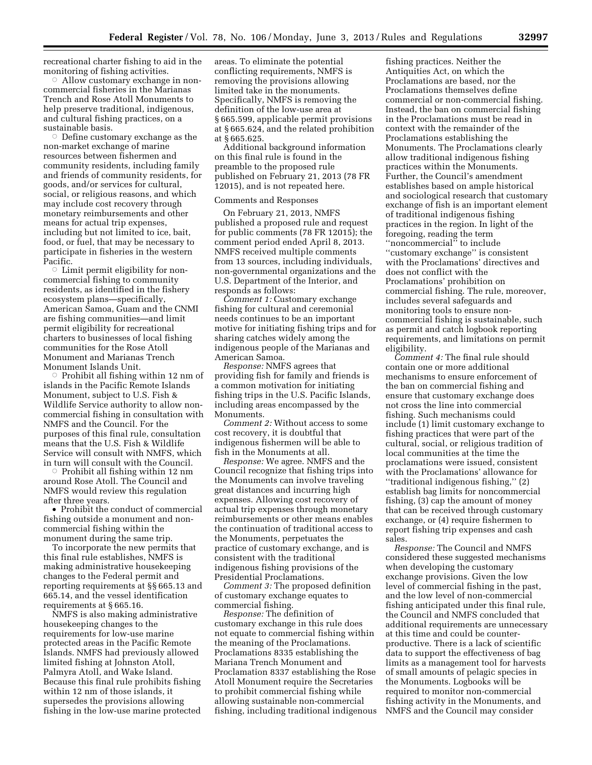recreational charter fishing to aid in the monitoring of fishing activities.

 $\circ$  Allow customary exchange in noncommercial fisheries in the Marianas Trench and Rose Atoll Monuments to help preserve traditional, indigenous, and cultural fishing practices, on a sustainable basis.

 $\circ$  Define customary exchange as the non-market exchange of marine resources between fishermen and community residents, including family and friends of community residents, for goods, and/or services for cultural, social, or religious reasons, and which may include cost recovery through monetary reimbursements and other means for actual trip expenses, including but not limited to ice, bait, food, or fuel, that may be necessary to participate in fisheries in the western Pacific.

 $\circ$  Limit permit eligibility for noncommercial fishing to community residents, as identified in the fishery ecosystem plans—specifically, American Samoa, Guam and the CNMI are fishing communities—and limit permit eligibility for recreational charters to businesses of local fishing communities for the Rose Atoll Monument and Marianas Trench Monument Islands Unit.

 $\circ$  Prohibit all fishing within 12 nm of islands in the Pacific Remote Islands Monument, subject to U.S. Fish & Wildlife Service authority to allow noncommercial fishing in consultation with NMFS and the Council. For the purposes of this final rule, consultation means that the U.S. Fish & Wildlife Service will consult with NMFS, which in turn will consult with the Council.

 $\circ$  Prohibit all fishing within 12 nm around Rose Atoll. The Council and NMFS would review this regulation after three years.

• Prohibit the conduct of commercial fishing outside a monument and noncommercial fishing within the monument during the same trip.

To incorporate the new permits that this final rule establishes, NMFS is making administrative housekeeping changes to the Federal permit and reporting requirements at §§ 665.13 and 665.14, and the vessel identification requirements at § 665.16.

NMFS is also making administrative housekeeping changes to the requirements for low-use marine protected areas in the Pacific Remote Islands. NMFS had previously allowed limited fishing at Johnston Atoll, Palmyra Atoll, and Wake Island. Because this final rule prohibits fishing within 12 nm of those islands, it supersedes the provisions allowing fishing in the low-use marine protected areas. To eliminate the potential conflicting requirements, NMFS is removing the provisions allowing limited take in the monuments. Specifically, NMFS is removing the definition of the low-use area at § 665.599, applicable permit provisions at § 665.624, and the related prohibition at § 665.625.

Additional background information on this final rule is found in the preamble to the proposed rule published on February 21, 2013 (78 FR 12015), and is not repeated here.

## Comments and Responses

On February 21, 2013, NMFS published a proposed rule and request for public comments (78 FR 12015); the comment period ended April 8, 2013. NMFS received multiple comments from 13 sources, including individuals, non-governmental organizations and the U.S. Department of the Interior, and responds as follows:

*Comment 1:* Customary exchange fishing for cultural and ceremonial needs continues to be an important motive for initiating fishing trips and for sharing catches widely among the indigenous people of the Marianas and American Samoa.

*Response:* NMFS agrees that providing fish for family and friends is a common motivation for initiating fishing trips in the U.S. Pacific Islands, including areas encompassed by the Monuments.

*Comment 2:* Without access to some cost recovery, it is doubtful that indigenous fishermen will be able to fish in the Monuments at all.

*Response:* We agree. NMFS and the Council recognize that fishing trips into the Monuments can involve traveling great distances and incurring high expenses. Allowing cost recovery of actual trip expenses through monetary reimbursements or other means enables the continuation of traditional access to the Monuments, perpetuates the practice of customary exchange, and is consistent with the traditional indigenous fishing provisions of the Presidential Proclamations.

*Comment 3:* The proposed definition of customary exchange equates to commercial fishing.

*Response:* The definition of customary exchange in this rule does not equate to commercial fishing within the meaning of the Proclamations. Proclamations 8335 establishing the Mariana Trench Monument and Proclamation 8337 establishing the Rose Atoll Monument require the Secretaries to prohibit commercial fishing while allowing sustainable non-commercial fishing, including traditional indigenous

fishing practices. Neither the Antiquities Act, on which the Proclamations are based, nor the Proclamations themselves define commercial or non-commercial fishing. Instead, the ban on commercial fishing in the Proclamations must be read in context with the remainder of the Proclamations establishing the Monuments. The Proclamations clearly allow traditional indigenous fishing practices within the Monuments. Further, the Council's amendment establishes based on ample historical and sociological research that customary exchange of fish is an important element of traditional indigenous fishing practices in the region. In light of the foregoing, reading the term ''noncommercial'' to include ''customary exchange'' is consistent with the Proclamations' directives and does not conflict with the Proclamations' prohibition on commercial fishing. The rule, moreover, includes several safeguards and monitoring tools to ensure noncommercial fishing is sustainable, such as permit and catch logbook reporting requirements, and limitations on permit eligibility.

*Comment 4:* The final rule should contain one or more additional mechanisms to ensure enforcement of the ban on commercial fishing and ensure that customary exchange does not cross the line into commercial fishing. Such mechanisms could include (1) limit customary exchange to fishing practices that were part of the cultural, social, or religious tradition of local communities at the time the proclamations were issued, consistent with the Proclamations' allowance for ''traditional indigenous fishing,'' (2) establish bag limits for noncommercial fishing, (3) cap the amount of money that can be received through customary exchange, or (4) require fishermen to report fishing trip expenses and cash sales.

*Response:* The Council and NMFS considered these suggested mechanisms when developing the customary exchange provisions. Given the low level of commercial fishing in the past, and the low level of non-commercial fishing anticipated under this final rule, the Council and NMFS concluded that additional requirements are unnecessary at this time and could be counterproductive. There is a lack of scientific data to support the effectiveness of bag limits as a management tool for harvests of small amounts of pelagic species in the Monuments. Logbooks will be required to monitor non-commercial fishing activity in the Monuments, and NMFS and the Council may consider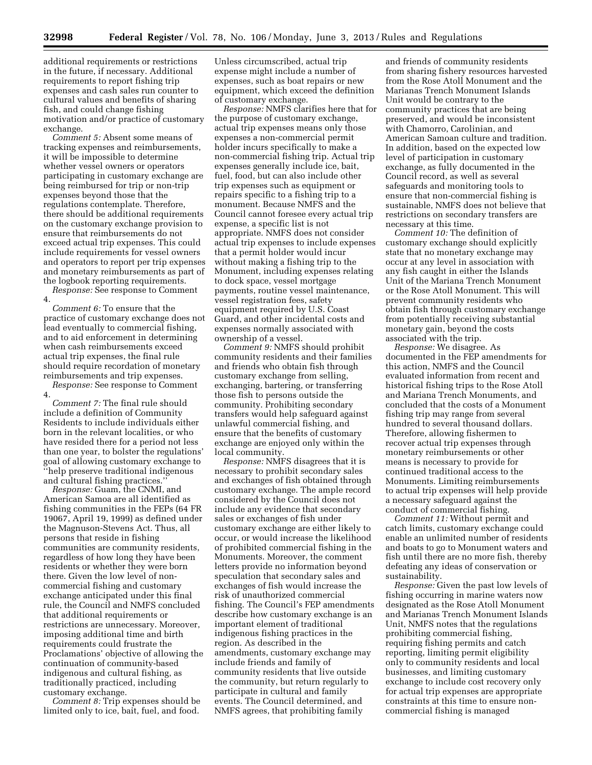additional requirements or restrictions in the future, if necessary. Additional requirements to report fishing trip expenses and cash sales run counter to cultural values and benefits of sharing fish, and could change fishing motivation and/or practice of customary exchange.

*Comment 5:* Absent some means of tracking expenses and reimbursements, it will be impossible to determine whether vessel owners or operators participating in customary exchange are being reimbursed for trip or non-trip expenses beyond those that the regulations contemplate. Therefore, there should be additional requirements on the customary exchange provision to ensure that reimbursements do not exceed actual trip expenses. This could include requirements for vessel owners and operators to report per trip expenses and monetary reimbursements as part of the logbook reporting requirements.

*Response:* See response to Comment 4.

*Comment 6:* To ensure that the practice of customary exchange does not lead eventually to commercial fishing, and to aid enforcement in determining when cash reimbursements exceed actual trip expenses, the final rule should require recordation of monetary reimbursements and trip expenses. *Response:* See response to Comment

4.

*Comment 7:* The final rule should include a definition of Community Residents to include individuals either born in the relevant localities, or who have resided there for a period not less than one year, to bolster the regulations' goal of allowing customary exchange to ''help preserve traditional indigenous and cultural fishing practices.''

*Response:* Guam, the CNMI, and American Samoa are all identified as fishing communities in the FEPs (64 FR 19067, April 19, 1999) as defined under the Magnuson-Stevens Act. Thus, all persons that reside in fishing communities are community residents, regardless of how long they have been residents or whether they were born there. Given the low level of noncommercial fishing and customary exchange anticipated under this final rule, the Council and NMFS concluded that additional requirements or restrictions are unnecessary. Moreover, imposing additional time and birth requirements could frustrate the Proclamations' objective of allowing the continuation of community-based indigenous and cultural fishing, as traditionally practiced, including customary exchange.

*Comment 8:* Trip expenses should be limited only to ice, bait, fuel, and food.

Unless circumscribed, actual trip expense might include a number of expenses, such as boat repairs or new equipment, which exceed the definition of customary exchange.

*Response:* NMFS clarifies here that for the purpose of customary exchange, actual trip expenses means only those expenses a non-commercial permit holder incurs specifically to make a non-commercial fishing trip. Actual trip expenses generally include ice, bait, fuel, food, but can also include other trip expenses such as equipment or repairs specific to a fishing trip to a monument. Because NMFS and the Council cannot foresee every actual trip expense, a specific list is not appropriate. NMFS does not consider actual trip expenses to include expenses that a permit holder would incur without making a fishing trip to the Monument, including expenses relating to dock space, vessel mortgage payments, routine vessel maintenance, vessel registration fees, safety equipment required by U.S. Coast Guard, and other incidental costs and expenses normally associated with ownership of a vessel.

*Comment 9:* NMFS should prohibit community residents and their families and friends who obtain fish through customary exchange from selling, exchanging, bartering, or transferring those fish to persons outside the community. Prohibiting secondary transfers would help safeguard against unlawful commercial fishing, and ensure that the benefits of customary exchange are enjoyed only within the local community.

*Response:* NMFS disagrees that it is necessary to prohibit secondary sales and exchanges of fish obtained through customary exchange. The ample record considered by the Council does not include any evidence that secondary sales or exchanges of fish under customary exchange are either likely to occur, or would increase the likelihood of prohibited commercial fishing in the Monuments. Moreover, the comment letters provide no information beyond speculation that secondary sales and exchanges of fish would increase the risk of unauthorized commercial fishing. The Council's FEP amendments describe how customary exchange is an important element of traditional indigenous fishing practices in the region. As described in the amendments, customary exchange may include friends and family of community residents that live outside the community, but return regularly to participate in cultural and family events. The Council determined, and NMFS agrees, that prohibiting family

and friends of community residents from sharing fishery resources harvested from the Rose Atoll Monument and the Marianas Trench Monument Islands Unit would be contrary to the community practices that are being preserved, and would be inconsistent with Chamorro, Carolinian, and American Samoan culture and tradition. In addition, based on the expected low level of participation in customary exchange, as fully documented in the Council record, as well as several safeguards and monitoring tools to ensure that non-commercial fishing is sustainable, NMFS does not believe that restrictions on secondary transfers are necessary at this time.

*Comment 10:* The definition of customary exchange should explicitly state that no monetary exchange may occur at any level in association with any fish caught in either the Islands Unit of the Mariana Trench Monument or the Rose Atoll Monument. This will prevent community residents who obtain fish through customary exchange from potentially receiving substantial monetary gain, beyond the costs associated with the trip.

*Response:* We disagree. As documented in the FEP amendments for this action, NMFS and the Council evaluated information from recent and historical fishing trips to the Rose Atoll and Mariana Trench Monuments, and concluded that the costs of a Monument fishing trip may range from several hundred to several thousand dollars. Therefore, allowing fishermen to recover actual trip expenses through monetary reimbursements or other means is necessary to provide for continued traditional access to the Monuments. Limiting reimbursements to actual trip expenses will help provide a necessary safeguard against the conduct of commercial fishing.

*Comment 11:* Without permit and catch limits, customary exchange could enable an unlimited number of residents and boats to go to Monument waters and fish until there are no more fish, thereby defeating any ideas of conservation or sustainability.

*Response:* Given the past low levels of fishing occurring in marine waters now designated as the Rose Atoll Monument and Marianas Trench Monument Islands Unit, NMFS notes that the regulations prohibiting commercial fishing, requiring fishing permits and catch reporting, limiting permit eligibility only to community residents and local businesses, and limiting customary exchange to include cost recovery only for actual trip expenses are appropriate constraints at this time to ensure noncommercial fishing is managed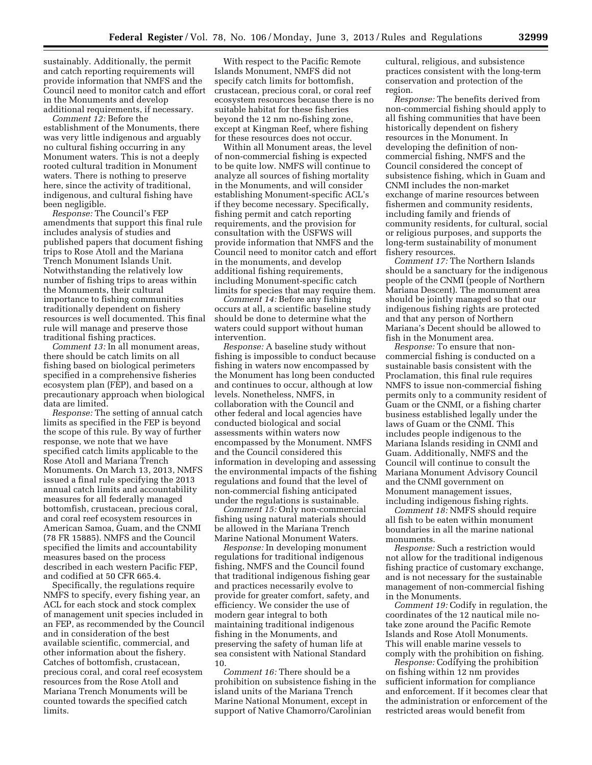sustainably. Additionally, the permit and catch reporting requirements will provide information that NMFS and the Council need to monitor catch and effort in the Monuments and develop additional requirements, if necessary.

*Comment 12:* Before the establishment of the Monuments, there was very little indigenous and arguably no cultural fishing occurring in any Monument waters. This is not a deeply rooted cultural tradition in Monument waters. There is nothing to preserve here, since the activity of traditional, indigenous, and cultural fishing have been negligible.

*Response:* The Council's FEP amendments that support this final rule includes analysis of studies and published papers that document fishing trips to Rose Atoll and the Mariana Trench Monument Islands Unit. Notwithstanding the relatively low number of fishing trips to areas within the Monuments, their cultural importance to fishing communities traditionally dependent on fishery resources is well documented. This final rule will manage and preserve those traditional fishing practices.

*Comment 13:* In all monument areas, there should be catch limits on all fishing based on biological perimeters specified in a comprehensive fisheries ecosystem plan (FEP), and based on a precautionary approach when biological data are limited.

*Response:* The setting of annual catch limits as specified in the FEP is beyond the scope of this rule. By way of further response, we note that we have specified catch limits applicable to the Rose Atoll and Mariana Trench Monuments. On March 13, 2013, NMFS issued a final rule specifying the 2013 annual catch limits and accountability measures for all federally managed bottomfish, crustacean, precious coral, and coral reef ecosystem resources in American Samoa, Guam, and the CNMI (78 FR 15885). NMFS and the Council specified the limits and accountability measures based on the process described in each western Pacific FEP, and codified at 50 CFR 665.4.

Specifically, the regulations require NMFS to specify, every fishing year, an ACL for each stock and stock complex of management unit species included in an FEP, as recommended by the Council and in consideration of the best available scientific, commercial, and other information about the fishery. Catches of bottomfish, crustacean, precious coral, and coral reef ecosystem resources from the Rose Atoll and Mariana Trench Monuments will be counted towards the specified catch limits.

With respect to the Pacific Remote Islands Monument, NMFS did not specify catch limits for bottomfish, crustacean, precious coral, or coral reef ecosystem resources because there is no suitable habitat for these fisheries beyond the 12 nm no-fishing zone, except at Kingman Reef, where fishing for these resources does not occur.

Within all Monument areas, the level of non-commercial fishing is expected to be quite low. NMFS will continue to analyze all sources of fishing mortality in the Monuments, and will consider establishing Monument-specific ACL's if they become necessary. Specifically, fishing permit and catch reporting requirements, and the provision for consultation with the USFWS will provide information that NMFS and the Council need to monitor catch and effort in the monuments, and develop additional fishing requirements, including Monument-specific catch limits for species that may require them.

*Comment 14:* Before any fishing occurs at all, a scientific baseline study should be done to determine what the waters could support without human intervention.

*Response:* A baseline study without fishing is impossible to conduct because fishing in waters now encompassed by the Monument has long been conducted and continues to occur, although at low levels. Nonetheless, NMFS, in collaboration with the Council and other federal and local agencies have conducted biological and social assessments within waters now encompassed by the Monument. NMFS and the Council considered this information in developing and assessing the environmental impacts of the fishing regulations and found that the level of non-commercial fishing anticipated under the regulations is sustainable.

*Comment 15:* Only non-commercial fishing using natural materials should be allowed in the Mariana Trench Marine National Monument Waters.

*Response:* In developing monument regulations for traditional indigenous fishing, NMFS and the Council found that traditional indigenous fishing gear and practices necessarily evolve to provide for greater comfort, safety, and efficiency. We consider the use of modern gear integral to both maintaining traditional indigenous fishing in the Monuments, and preserving the safety of human life at sea consistent with National Standard 10.

*Comment 16:* There should be a prohibition on subsistence fishing in the island units of the Mariana Trench Marine National Monument, except in support of Native Chamorro/Carolinian

cultural, religious, and subsistence practices consistent with the long-term conservation and protection of the region.

*Response:* The benefits derived from non-commercial fishing should apply to all fishing communities that have been historically dependent on fishery resources in the Monument. In developing the definition of noncommercial fishing, NMFS and the Council considered the concept of subsistence fishing, which in Guam and CNMI includes the non-market exchange of marine resources between fishermen and community residents, including family and friends of community residents, for cultural, social or religious purposes, and supports the long-term sustainability of monument fishery resources.

*Comment 17:* The Northern Islands should be a sanctuary for the indigenous people of the CNMI (people of Northern Mariana Descent). The monument area should be jointly managed so that our indigenous fishing rights are protected and that any person of Northern Mariana's Decent should be allowed to fish in the Monument area.

*Response:* To ensure that noncommercial fishing is conducted on a sustainable basis consistent with the Proclamation, this final rule requires NMFS to issue non-commercial fishing permits only to a community resident of Guam or the CNMI, or a fishing charter business established legally under the laws of Guam or the CNMI. This includes people indigenous to the Mariana Islands residing in CNMI and Guam. Additionally, NMFS and the Council will continue to consult the Mariana Monument Advisory Council and the CNMI government on Monument management issues, including indigenous fishing rights.

*Comment 18:* NMFS should require all fish to be eaten within monument boundaries in all the marine national monuments.

*Response:* Such a restriction would not allow for the traditional indigenous fishing practice of customary exchange, and is not necessary for the sustainable management of non-commercial fishing in the Monuments.

*Comment 19:* Codify in regulation, the coordinates of the 12 nautical mile notake zone around the Pacific Remote Islands and Rose Atoll Monuments. This will enable marine vessels to comply with the prohibition on fishing.

*Response:* Codifying the prohibition on fishing within 12 nm provides sufficient information for compliance and enforcement. If it becomes clear that the administration or enforcement of the restricted areas would benefit from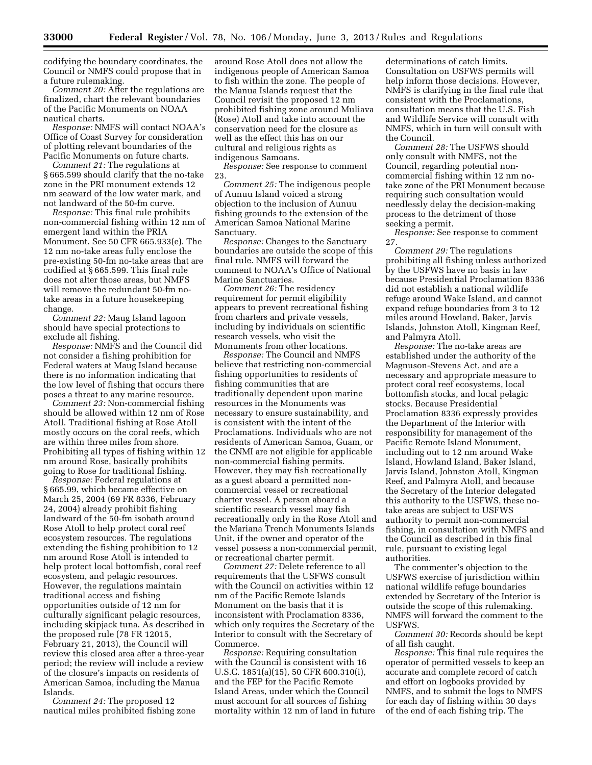codifying the boundary coordinates, the Council or NMFS could propose that in a future rulemaking.

*Comment 20:* After the regulations are finalized, chart the relevant boundaries of the Pacific Monuments on NOAA nautical charts.

*Response:* NMFS will contact NOAA's Office of Coast Survey for consideration of plotting relevant boundaries of the Pacific Monuments on future charts.

*Comment 21:* The regulations at § 665.599 should clarify that the no-take zone in the PRI monument extends 12 nm seaward of the low water mark, and not landward of the 50-fm curve.

*Response:* This final rule prohibits non-commercial fishing within 12 nm of emergent land within the PRIA Monument. See 50 CFR 665.933(e). The 12 nm no-take areas fully enclose the pre-existing 50-fm no-take areas that are codified at § 665.599. This final rule does not alter those areas, but NMFS will remove the redundant 50-fm notake areas in a future housekeeping change.

*Comment 22:* Maug Island lagoon should have special protections to exclude all fishing.

*Response:* NMFS and the Council did not consider a fishing prohibition for Federal waters at Maug Island because there is no information indicating that the low level of fishing that occurs there poses a threat to any marine resource.

*Comment 23:* Non-commercial fishing should be allowed within 12 nm of Rose Atoll. Traditional fishing at Rose Atoll mostly occurs on the coral reefs, which are within three miles from shore. Prohibiting all types of fishing within 12 nm around Rose, basically prohibits going to Rose for traditional fishing.

*Response:* Federal regulations at § 665.99, which became effective on March 25, 2004 (69 FR 8336, February 24, 2004) already prohibit fishing landward of the 50-fm isobath around Rose Atoll to help protect coral reef ecosystem resources. The regulations extending the fishing prohibition to 12 nm around Rose Atoll is intended to help protect local bottomfish, coral reef ecosystem, and pelagic resources. However, the regulations maintain traditional access and fishing opportunities outside of 12 nm for culturally significant pelagic resources, including skipjack tuna. As described in the proposed rule (78 FR 12015, February 21, 2013), the Council will review this closed area after a three-year period; the review will include a review of the closure's impacts on residents of American Samoa, including the Manua Islands.

*Comment 24:* The proposed 12 nautical miles prohibited fishing zone

around Rose Atoll does not allow the indigenous people of American Samoa to fish within the zone. The people of the Manua Islands request that the Council revisit the proposed 12 nm prohibited fishing zone around Muliava (Rose) Atoll and take into account the conservation need for the closure as well as the effect this has on our cultural and religious rights as indigenous Samoans.

*Response:* See response to comment 23.

*Comment 25:* The indigenous people of Aunuu Island voiced a strong objection to the inclusion of Aunuu fishing grounds to the extension of the American Samoa National Marine Sanctuary.

*Response:* Changes to the Sanctuary boundaries are outside the scope of this final rule. NMFS will forward the comment to NOAA's Office of National Marine Sanctuaries.

*Comment 26:* The residency requirement for permit eligibility appears to prevent recreational fishing from charters and private vessels, including by individuals on scientific research vessels, who visit the Monuments from other locations.

*Response:* The Council and NMFS believe that restricting non-commercial fishing opportunities to residents of fishing communities that are traditionally dependent upon marine resources in the Monuments was necessary to ensure sustainability, and is consistent with the intent of the Proclamations. Individuals who are not residents of American Samoa, Guam, or the CNMI are not eligible for applicable non-commercial fishing permits. However, they may fish recreationally as a guest aboard a permitted noncommercial vessel or recreational charter vessel. A person aboard a scientific research vessel may fish recreationally only in the Rose Atoll and the Mariana Trench Monuments Islands Unit, if the owner and operator of the vessel possess a non-commercial permit, or recreational charter permit.

*Comment 27:* Delete reference to all requirements that the USFWS consult with the Council on activities within 12 nm of the Pacific Remote Islands Monument on the basis that it is inconsistent with Proclamation 8336, which only requires the Secretary of the Interior to consult with the Secretary of Commerce.

*Response:* Requiring consultation with the Council is consistent with 16 U.S.C. 1851(a)(15), 50 CFR 600.310(i), and the FEP for the Pacific Remote Island Areas, under which the Council must account for all sources of fishing mortality within 12 nm of land in future

determinations of catch limits. Consultation on USFWS permits will help inform those decisions. However, NMFS is clarifying in the final rule that consistent with the Proclamations, consultation means that the U.S. Fish and Wildlife Service will consult with NMFS, which in turn will consult with the Council.

*Comment 28:* The USFWS should only consult with NMFS, not the Council, regarding potential noncommercial fishing within 12 nm notake zone of the PRI Monument because requiring such consultation would needlessly delay the decision-making process to the detriment of those seeking a permit.

*Response:* See response to comment 27.

*Comment 29:* The regulations prohibiting all fishing unless authorized by the USFWS have no basis in law because Presidential Proclamation 8336 did not establish a national wildlife refuge around Wake Island, and cannot expand refuge boundaries from 3 to 12 miles around Howland, Baker, Jarvis Islands, Johnston Atoll, Kingman Reef, and Palmyra Atoll.

*Response:* The no-take areas are established under the authority of the Magnuson-Stevens Act, and are a necessary and appropriate measure to protect coral reef ecosystems, local bottomfish stocks, and local pelagic stocks. Because Presidential Proclamation 8336 expressly provides the Department of the Interior with responsibility for management of the Pacific Remote Island Monument, including out to 12 nm around Wake Island, Howland Island, Baker Island, Jarvis Island, Johnston Atoll, Kingman Reef, and Palmyra Atoll, and because the Secretary of the Interior delegated this authority to the USFWS, these notake areas are subject to USFWS authority to permit non-commercial fishing, in consultation with NMFS and the Council as described in this final rule, pursuant to existing legal authorities.

The commenter's objection to the USFWS exercise of jurisdiction within national wildlife refuge boundaries extended by Secretary of the Interior is outside the scope of this rulemaking. NMFS will forward the comment to the USFWS.

*Comment 30:* Records should be kept of all fish caught.

*Response:* This final rule requires the operator of permitted vessels to keep an accurate and complete record of catch and effort on logbooks provided by NMFS, and to submit the logs to NMFS for each day of fishing within 30 days of the end of each fishing trip. The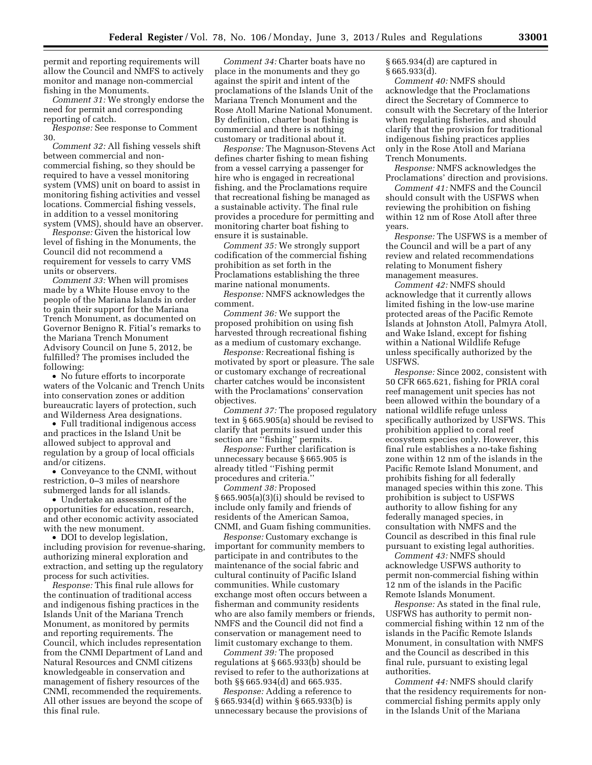permit and reporting requirements will allow the Council and NMFS to actively monitor and manage non-commercial fishing in the Monuments.

*Comment 31:* We strongly endorse the need for permit and corresponding reporting of catch.

*Response:* See response to Comment 30.

*Comment 32:* All fishing vessels shift between commercial and noncommercial fishing, so they should be required to have a vessel monitoring system (VMS) unit on board to assist in monitoring fishing activities and vessel locations. Commercial fishing vessels, in addition to a vessel monitoring system (VMS), should have an observer.

*Response:* Given the historical low level of fishing in the Monuments, the Council did not recommend a requirement for vessels to carry VMS units or observers.

*Comment 33:* When will promises made by a White House envoy to the people of the Mariana Islands in order to gain their support for the Mariana Trench Monument, as documented on Governor Benigno R. Fitial's remarks to the Mariana Trench Monument Advisory Council on June 5, 2012, be fulfilled? The promises included the following:

• No future efforts to incorporate waters of the Volcanic and Trench Units into conservation zones or addition bureaucratic layers of protection, such and Wilderness Area designations.

• Full traditional indigenous access and practices in the Island Unit be allowed subject to approval and regulation by a group of local officials and/or citizens.

• Conveyance to the CNMI, without restriction, 0–3 miles of nearshore submerged lands for all islands.

• Undertake an assessment of the opportunities for education, research, and other economic activity associated with the new monument.

• DOI to develop legislation, including provision for revenue-sharing, authorizing mineral exploration and extraction, and setting up the regulatory process for such activities.

*Response:* This final rule allows for the continuation of traditional access and indigenous fishing practices in the Islands Unit of the Mariana Trench Monument, as monitored by permits and reporting requirements. The Council, which includes representation from the CNMI Department of Land and Natural Resources and CNMI citizens knowledgeable in conservation and management of fishery resources of the CNMI, recommended the requirements. All other issues are beyond the scope of this final rule.

*Comment 34:* Charter boats have no place in the monuments and they go against the spirit and intent of the proclamations of the Islands Unit of the Mariana Trench Monument and the Rose Atoll Marine National Monument. By definition, charter boat fishing is commercial and there is nothing customary or traditional about it.

*Response:* The Magnuson-Stevens Act defines charter fishing to mean fishing from a vessel carrying a passenger for hire who is engaged in recreational fishing, and the Proclamations require that recreational fishing be managed as a sustainable activity. The final rule provides a procedure for permitting and monitoring charter boat fishing to ensure it is sustainable.

*Comment 35:* We strongly support codification of the commercial fishing prohibition as set forth in the Proclamations establishing the three marine national monuments.

*Response:* NMFS acknowledges the comment.

*Comment 36:* We support the proposed prohibition on using fish harvested through recreational fishing as a medium of customary exchange.

*Response:* Recreational fishing is motivated by sport or pleasure. The sale or customary exchange of recreational charter catches would be inconsistent with the Proclamations' conservation objectives.

*Comment 37:* The proposed regulatory text in § 665.905(a) should be revised to clarify that permits issued under this section are ''fishing'' permits.

*Response:* Further clarification is unnecessary because § 665.905 is already titled ''Fishing permit procedures and criteria.

*Comment 38:* Proposed § 665.905(a)(3)(i) should be revised to include only family and friends of residents of the American Samoa, CNMI, and Guam fishing communities.

*Response:* Customary exchange is important for community members to participate in and contributes to the maintenance of the social fabric and cultural continuity of Pacific Island communities. While customary exchange most often occurs between a fisherman and community residents who are also family members or friends, NMFS and the Council did not find a conservation or management need to limit customary exchange to them.

*Comment 39:* The proposed regulations at § 665.933(b) should be revised to refer to the authorizations at both §§ 665.934(d) and 665.935.

*Response:* Adding a reference to § 665.934(d) within § 665.933(b) is unnecessary because the provisions of § 665.934(d) are captured in § 665.933(d).

*Comment 40:* NMFS should acknowledge that the Proclamations direct the Secretary of Commerce to consult with the Secretary of the Interior when regulating fisheries, and should clarify that the provision for traditional indigenous fishing practices applies only in the Rose Atoll and Mariana Trench Monuments.

*Response:* NMFS acknowledges the Proclamations' direction and provisions.

*Comment 41:* NMFS and the Council should consult with the USFWS when reviewing the prohibition on fishing within 12 nm of Rose Atoll after three years.

*Response:* The USFWS is a member of the Council and will be a part of any review and related recommendations relating to Monument fishery management measures.

*Comment 42:* NMFS should acknowledge that it currently allows limited fishing in the low-use marine protected areas of the Pacific Remote Islands at Johnston Atoll, Palmyra Atoll, and Wake Island, except for fishing within a National Wildlife Refuge unless specifically authorized by the USFWS.

*Response:* Since 2002, consistent with 50 CFR 665.621, fishing for PRIA coral reef management unit species has not been allowed within the boundary of a national wildlife refuge unless specifically authorized by USFWS. This prohibition applied to coral reef ecosystem species only. However, this final rule establishes a no-take fishing zone within 12 nm of the islands in the Pacific Remote Island Monument, and prohibits fishing for all federally managed species within this zone. This prohibition is subject to USFWS authority to allow fishing for any federally managed species, in consultation with NMFS and the Council as described in this final rule pursuant to existing legal authorities.

*Comment 43:* NMFS should acknowledge USFWS authority to permit non-commercial fishing within 12 nm of the islands in the Pacific Remote Islands Monument.

*Response:* As stated in the final rule, USFWS has authority to permit noncommercial fishing within 12 nm of the islands in the Pacific Remote Islands Monument, in consultation with NMFS and the Council as described in this final rule, pursuant to existing legal authorities.

*Comment 44:* NMFS should clarify that the residency requirements for noncommercial fishing permits apply only in the Islands Unit of the Mariana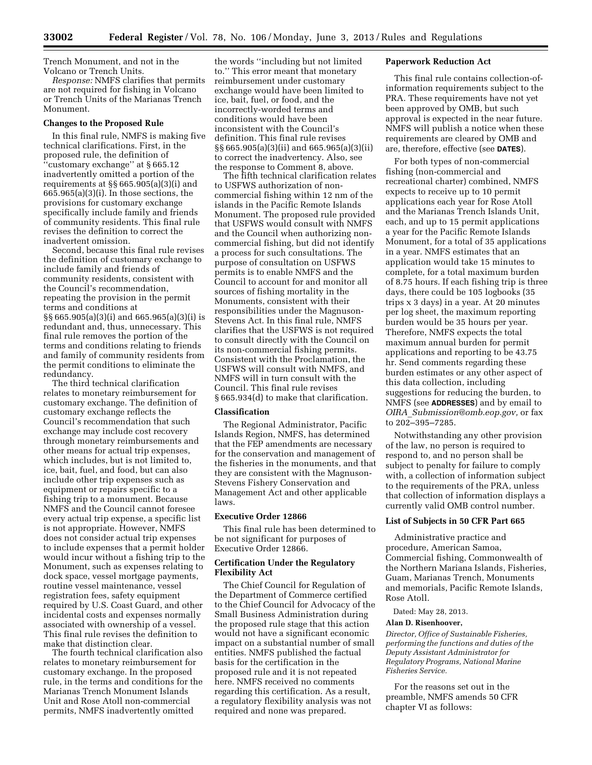Trench Monument, and not in the Volcano or Trench Units.

*Response:* NMFS clarifies that permits are not required for fishing in Volcano or Trench Units of the Marianas Trench Monument.

### **Changes to the Proposed Rule**

In this final rule, NMFS is making five technical clarifications. First, in the proposed rule, the definition of ''customary exchange'' at § 665.12 inadvertently omitted a portion of the requirements at §§ 665.905(a)(3)(i) and 665.965(a)(3)(i). In those sections, the provisions for customary exchange specifically include family and friends of community residents. This final rule revises the definition to correct the inadvertent omission.

Second, because this final rule revises the definition of customary exchange to include family and friends of community residents, consistent with the Council's recommendation, repeating the provision in the permit terms and conditions at §§ 665.905(a)(3)(i) and 665.965(a)(3)(i) is redundant and, thus, unnecessary. This final rule removes the portion of the terms and conditions relating to friends and family of community residents from the permit conditions to eliminate the redundancy.

The third technical clarification relates to monetary reimbursement for customary exchange. The definition of customary exchange reflects the Council's recommendation that such exchange may include cost recovery through monetary reimbursements and other means for actual trip expenses, which includes, but is not limited to, ice, bait, fuel, and food, but can also include other trip expenses such as equipment or repairs specific to a fishing trip to a monument. Because NMFS and the Council cannot foresee every actual trip expense, a specific list is not appropriate. However, NMFS does not consider actual trip expenses to include expenses that a permit holder would incur without a fishing trip to the Monument, such as expenses relating to dock space, vessel mortgage payments, routine vessel maintenance, vessel registration fees, safety equipment required by U.S. Coast Guard, and other incidental costs and expenses normally associated with ownership of a vessel. This final rule revises the definition to make that distinction clear.

The fourth technical clarification also relates to monetary reimbursement for customary exchange. In the proposed rule, in the terms and conditions for the Marianas Trench Monument Islands Unit and Rose Atoll non-commercial permits, NMFS inadvertently omitted

the words ''including but not limited to.'' This error meant that monetary reimbursement under customary exchange would have been limited to ice, bait, fuel, or food, and the incorrectly-worded terms and conditions would have been inconsistent with the Council's definition. This final rule revises §§ 665.905(a)(3)(ii) and 665.965(a)(3)(ii) to correct the inadvertency. Also, see the response to Comment 8, above.

The fifth technical clarification relates to USFWS authorization of noncommercial fishing within 12 nm of the islands in the Pacific Remote Islands Monument. The proposed rule provided that USFWS would consult with NMFS and the Council when authorizing noncommercial fishing, but did not identify a process for such consultations. The purpose of consultation on USFWS permits is to enable NMFS and the Council to account for and monitor all sources of fishing mortality in the Monuments, consistent with their responsibilities under the Magnuson-Stevens Act. In this final rule, NMFS clarifies that the USFWS is not required to consult directly with the Council on its non-commercial fishing permits. Consistent with the Proclamation, the USFWS will consult with NMFS, and NMFS will in turn consult with the Council. This final rule revises § 665.934(d) to make that clarification.

#### **Classification**

The Regional Administrator, Pacific Islands Region, NMFS, has determined that the FEP amendments are necessary for the conservation and management of the fisheries in the monuments, and that they are consistent with the Magnuson-Stevens Fishery Conservation and Management Act and other applicable laws.

#### **Executive Order 12866**

This final rule has been determined to be not significant for purposes of Executive Order 12866.

## **Certification Under the Regulatory Flexibility Act**

The Chief Council for Regulation of the Department of Commerce certified to the Chief Council for Advocacy of the Small Business Administration during the proposed rule stage that this action would not have a significant economic impact on a substantial number of small entities. NMFS published the factual basis for the certification in the proposed rule and it is not repeated here. NMFS received no comments regarding this certification. As a result, a regulatory flexibility analysis was not required and none was prepared.

## **Paperwork Reduction Act**

This final rule contains collection-ofinformation requirements subject to the PRA. These requirements have not yet been approved by OMB, but such approval is expected in the near future. NMFS will publish a notice when these requirements are cleared by OMB and are, therefore, effective (see **DATES**).

For both types of non-commercial fishing (non-commercial and recreational charter) combined, NMFS expects to receive up to 10 permit applications each year for Rose Atoll and the Marianas Trench Islands Unit, each, and up to 15 permit applications a year for the Pacific Remote Islands Monument, for a total of 35 applications in a year. NMFS estimates that an application would take 15 minutes to complete, for a total maximum burden of 8.75 hours. If each fishing trip is three days, there could be 105 logbooks (35 trips x 3 days) in a year. At 20 minutes per log sheet, the maximum reporting burden would be 35 hours per year. Therefore, NMFS expects the total maximum annual burden for permit applications and reporting to be 43.75 hr. Send comments regarding these burden estimates or any other aspect of this data collection, including suggestions for reducing the burden, to NMFS (see **ADDRESSES**) and by email to *OIRA*\_*[Submission@omb.eop.gov,](mailto:OIRA_Submission@omb.eop.gov)* or fax to 202–395–7285.

Notwithstanding any other provision of the law, no person is required to respond to, and no person shall be subject to penalty for failure to comply with, a collection of information subject to the requirements of the PRA, unless that collection of information displays a currently valid OMB control number.

# **List of Subjects in 50 CFR Part 665**

Administrative practice and procedure, American Samoa, Commercial fishing, Commonwealth of the Northern Mariana Islands, Fisheries, Guam, Marianas Trench, Monuments and memorials, Pacific Remote Islands, Rose Atoll.

Dated: May 28, 2013.

## **Alan D. Risenhoover,**

*Director, Office of Sustainable Fisheries, performing the functions and duties of the Deputy Assistant Administrator for Regulatory Programs, National Marine Fisheries Service.* 

For the reasons set out in the preamble, NMFS amends 50 CFR chapter VI as follows: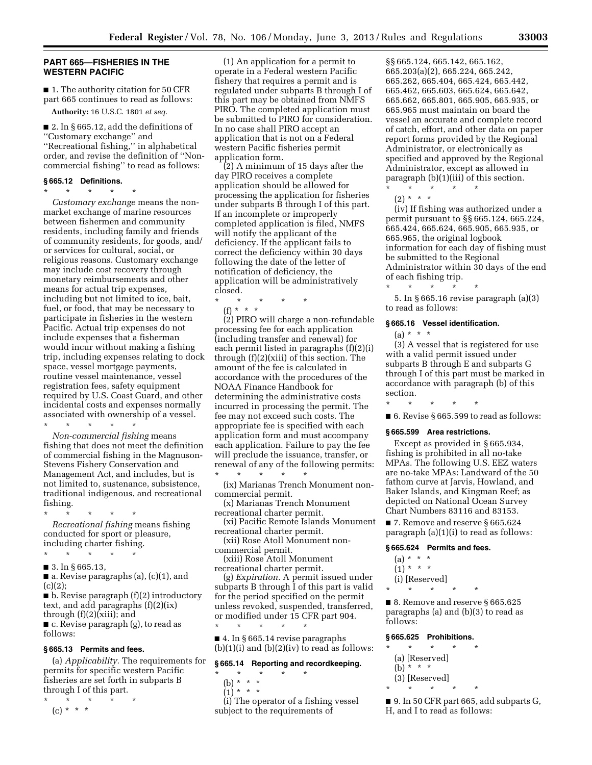### **PART 665—FISHERIES IN THE WESTERN PACIFIC**

■ 1. The authority citation for 50 CFR part 665 continues to read as follows:

**Authority:** 16 U.S.C. 1801 *et seq.* 

■ 2. In § 665.12, add the definitions of ''Customary exchange'' and ''Recreational fishing,'' in alphabetical order, and revise the definition of ''Noncommercial fishing'' to read as follows:

#### **§ 665.12 Definitions.**  \* \* \* \* \*

*Customary exchange* means the nonmarket exchange of marine resources between fishermen and community residents, including family and friends of community residents, for goods, and/ or services for cultural, social, or religious reasons. Customary exchange may include cost recovery through monetary reimbursements and other means for actual trip expenses, including but not limited to ice, bait, fuel, or food, that may be necessary to participate in fisheries in the western Pacific. Actual trip expenses do not include expenses that a fisherman would incur without making a fishing trip, including expenses relating to dock space, vessel mortgage payments, routine vessel maintenance, vessel registration fees, safety equipment required by U.S. Coast Guard, and other incidental costs and expenses normally associated with ownership of a vessel.

\* \* \* \* \* *Non-commercial fishing* means fishing that does not meet the definition of commercial fishing in the Magnuson-Stevens Fishery Conservation and Management Act, and includes, but is not limited to, sustenance, subsistence, traditional indigenous, and recreational fishing.

- \* \* \* \* \* *Recreational fishing* means fishing conducted for sport or pleasure, including charter fishing.
- \* \* \* \* \*
- 3. In § 665.13,
- a. Revise paragraphs (a), (c)(1), and  $(c)(2);$

■ b. Revise paragraph (f)(2) introductory text, and add paragraphs (f)(2)(ix) through (f)(2)(xiii); and

■ c. Revise paragraph (g), to read as follows:

#### **§ 665.13 Permits and fees.**

(a) *Applicability.* The requirements for permits for specific western Pacific fisheries are set forth in subparts B through I of this part. \* \* \* \* \*

 $(c) * * * *$ 

(1) An application for a permit to operate in a Federal western Pacific fishery that requires a permit and is regulated under subparts B through I of this part may be obtained from NMFS PIRO. The completed application must be submitted to PIRO for consideration. In no case shall PIRO accept an application that is not on a Federal western Pacific fisheries permit application form.

(2) A minimum of 15 days after the day PIRO receives a complete application should be allowed for processing the application for fisheries under subparts B through I of this part. If an incomplete or improperly completed application is filed, NMFS will notify the applicant of the deficiency. If the applicant fails to correct the deficiency within 30 days following the date of the letter of notification of deficiency, the application will be administratively closed.

\* \* \* \* \*

(f) \* \* \*

(2) PIRO will charge a non-refundable processing fee for each application (including transfer and renewal) for each permit listed in paragraphs (f)(2)(i) through (f)(2)(xiii) of this section. The amount of the fee is calculated in accordance with the procedures of the NOAA Finance Handbook for determining the administrative costs incurred in processing the permit. The fee may not exceed such costs. The appropriate fee is specified with each application form and must accompany each application. Failure to pay the fee will preclude the issuance, transfer, or renewal of any of the following permits:

\* \* \* \* \* (ix) Marianas Trench Monument noncommercial permit.

- (x) Marianas Trench Monument recreational charter permit.
- (xi) Pacific Remote Islands Monument recreational charter permit.

(xii) Rose Atoll Monument noncommercial permit.

(xiii) Rose Atoll Monument recreational charter permit.

(g) *Expiration.* A permit issued under subparts B through I of this part is valid for the period specified on the permit unless revoked, suspended, transferred, or modified under 15 CFR part 904. \* \* \* \* \*

■ 4. In § 665.14 revise paragraphs  $(b)(1)(i)$  and  $(b)(2)(iv)$  to read as follows:

#### **§ 665.14 Reporting and recordkeeping.**

- \* \* \* \* \*
	- (b) \* \* \*
	- $(1)^*$  \* \* \*

(i) The operator of a fishing vessel subject to the requirements of

§§ 665.124, 665.142, 665.162, 665.203(a)(2), 665.224, 665.242, 665.262, 665.404, 665.424, 665.442, 665.462, 665.603, 665.624, 665.642, 665.662, 665.801, 665.905, 665.935, or 665.965 must maintain on board the vessel an accurate and complete record of catch, effort, and other data on paper report forms provided by the Regional Administrator, or electronically as specified and approved by the Regional Administrator, except as allowed in paragraph (b)(1)(iii) of this section.

- \* \* \* \* \*
- $(2) * * * *$

(iv) If fishing was authorized under a permit pursuant to §§ 665.124, 665.224, 665.424, 665.624, 665.905, 665.935, or 665.965, the original logbook information for each day of fishing must be submitted to the Regional Administrator within 30 days of the end of each fishing trip.

\* \* \* \* \* 5. In § 665.16 revise paragraph (a)(3) to read as follows:

### **§ 665.16 Vessel identification.**

 $(a) * * * *$ 

(3) A vessel that is registered for use with a valid permit issued under subparts B through E and subparts G through I of this part must be marked in accordance with paragraph (b) of this section.

\* \* \* \* \*

■ 6. Revise § 665.599 to read as follows:

#### **§ 665.599 Area restrictions.**

Except as provided in § 665.934, fishing is prohibited in all no-take MPAs. The following U.S. EEZ waters are no-take MPAs: Landward of the 50 fathom curve at Jarvis, Howland, and Baker Islands, and Kingman Reef; as depicted on National Ocean Survey Chart Numbers 83116 and 83153.

■ 7. Remove and reserve § 665.624 paragraph (a)(1)(i) to read as follows:

### **§ 665.624 Permits and fees.**

- $(a) * * * *$
- $(1) * * * *$
- (i) [Reserved]
- \* \* \* \* \* ■ 8. Remove and reserve § 665.625

paragraphs (a) and (b)(3) to read as follows:

## **§ 665.625 Prohibitions.**

 $\star$   $\star$   $\star$ (a) [Reserved] (b) \* \* \* (3) [Reserved]  $\star$   $\star$ 

■ 9. In 50 CFR part 665, add subparts G, H, and I to read as follows: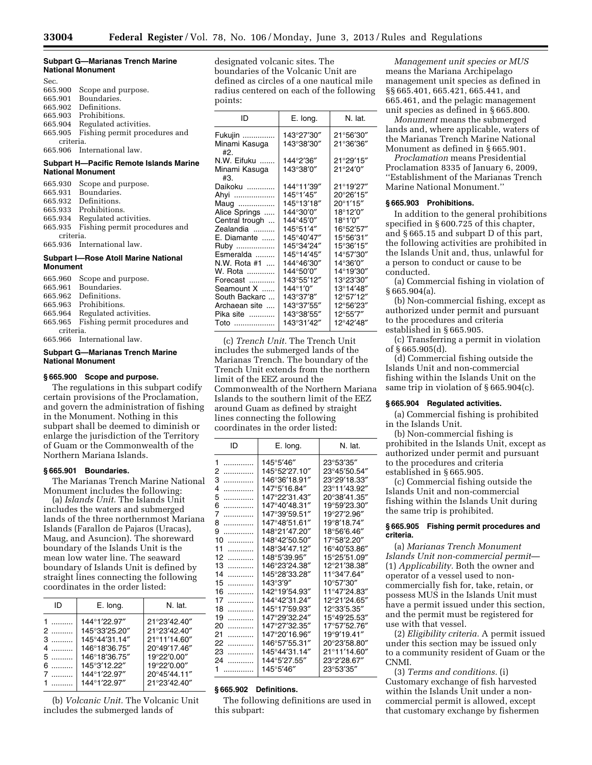### **Subpart G—Marianas Trench Marine National Monument**

| Sec.      |                               |
|-----------|-------------------------------|
| 665.900   | Scope and purpose.            |
| 665.901   | Boundaries.                   |
| 665.902   | Definitions.                  |
| 665.903   | Prohibitions.                 |
| 665.904   | Regulated activities.         |
| 665.905   | Fishing permit procedures and |
| criteria. |                               |
|           | 665.906 International law.    |
|           |                               |

## **Subpart H—Pacific Remote Islands Marine National Monument**

|           | 665.930 Scope and purpose.            |
|-----------|---------------------------------------|
|           | 665.931 Boundaries.                   |
|           | 665.932 Definitions.                  |
|           | 665.933 Prohibitions.                 |
|           | 665.934 Regulated activities.         |
|           | 665.935 Fishing permit procedures and |
| criteria. |                                       |
|           | 665.936 International law.            |

## **Subpart I—Rose Atoll Marine National Monument**

|           | 665.960 Scope and purpose.            |
|-----------|---------------------------------------|
|           | 665.961 Boundaries.                   |
|           | 665.962 Definitions.                  |
|           | 665.963 Prohibitions.                 |
|           | 665.964 Regulated activities.         |
|           | 665.965 Fishing permit procedures and |
| criteria. |                                       |
|           | 665.966 International law.            |
|           |                                       |

## **Subpart G—Marianas Trench Marine National Monument**

# **§ 665.900 Scope and purpose.**

The regulations in this subpart codify certain provisions of the Proclamation, and govern the administration of fishing in the Monument. Nothing in this subpart shall be deemed to diminish or enlarge the jurisdiction of the Territory of Guam or the Commonwealth of the Northern Mariana Islands.

### **§ 665.901 Boundaries.**

The Marianas Trench Marine National Monument includes the following:

(a) *Islands Unit.* The Islands Unit includes the waters and submerged lands of the three northernmost Mariana Islands (Farallon de Pajaros (Uracas), Maug, and Asuncion). The shoreward boundary of the Islands Unit is the mean low water line. The seaward boundary of Islands Unit is defined by straight lines connecting the following coordinates in the order listed:

| ID                      | E. long.                                                                                                         | N. lat.                                                                                                    |
|-------------------------|------------------------------------------------------------------------------------------------------------------|------------------------------------------------------------------------------------------------------------|
| 2<br>3<br>$4$<br>6<br>. | 144°1'22.97"<br>145°33'25.20"<br>145°44'31.14"<br>146°18'36.75"<br>146°18'36.75"<br>145°3'12.22"<br>144°1'22.97" | 21°23'42.40"<br>21°23'42.40"<br>21°11'14.60"<br>20°49'17.46"<br>19°22'0.00"<br>19°22'0.00"<br>20°45'44.11" |
|                         | 144°1'22.97"                                                                                                     | 21°23'42.40"                                                                                               |

(b) *Volcanic Unit.* The Volcanic Unit includes the submerged lands of

designated volcanic sites. The boundaries of the Volcanic Unit are defined as circles of a one nautical mile radius centered on each of the following points:

| N. lat.<br>חו<br>E. long.<br>143°27'30″<br>21°56'30"<br>Fukujin<br>Minami Kasuga<br>143°38′30″<br>21°36'36"<br>#2.<br>21°29'15"<br>N.W. Eifuku<br>144°2'36"<br>Minami Kasuga<br>143°38′0″<br>21°24'0"<br>#3.<br>144°11′39″<br>21°19'27″<br>Daikoku<br>145°1′45″<br>20°26'15"<br>Ahyi<br>145°13'18"<br>20°1'15"<br>Maug<br>144°30'0"<br>18°12'0"<br>Alice Springs<br>144°45'0"<br>18°1'0"<br>Central trough<br>145°51'4"<br>16°52'57"<br>Zealandia<br>E. Diamante<br>145°40′47″<br>15°56'31"<br>145°34'24"<br>15°36'15"<br>Ruby<br>Esmeralda<br>145°14'45"<br>14°57'30″<br>144°46′30″<br>N.W. Rota #1<br>14°36'0"<br>144°50′0″<br>14°19'30"<br>W. Rota<br>143°55′12″<br>13°23'30"<br>Forecast<br>Seamount X<br>144°1′0″<br>13°14'48"<br>South Backarc<br>143°37′8″<br>12°57'12"<br>143°37'55″<br>12°56'23"<br>Archaean site<br>143°38'55"<br>12°55'7"<br>Pika site<br>143°31'42"<br>12°42'48"<br>Toto<br>. |  |  |
|-----------------------------------------------------------------------------------------------------------------------------------------------------------------------------------------------------------------------------------------------------------------------------------------------------------------------------------------------------------------------------------------------------------------------------------------------------------------------------------------------------------------------------------------------------------------------------------------------------------------------------------------------------------------------------------------------------------------------------------------------------------------------------------------------------------------------------------------------------------------------------------------------------------|--|--|
|                                                                                                                                                                                                                                                                                                                                                                                                                                                                                                                                                                                                                                                                                                                                                                                                                                                                                                           |  |  |
|                                                                                                                                                                                                                                                                                                                                                                                                                                                                                                                                                                                                                                                                                                                                                                                                                                                                                                           |  |  |
|                                                                                                                                                                                                                                                                                                                                                                                                                                                                                                                                                                                                                                                                                                                                                                                                                                                                                                           |  |  |
|                                                                                                                                                                                                                                                                                                                                                                                                                                                                                                                                                                                                                                                                                                                                                                                                                                                                                                           |  |  |

(c) *Trench Unit.* The Trench Unit includes the submerged lands of the Marianas Trench. The boundary of the Trench Unit extends from the northern limit of the EEZ around the Commonwealth of the Northern Mariana Islands to the southern limit of the EEZ around Guam as defined by straight lines connecting the following coordinates in the order listed:

| ID      | E. long.      | N. lat.      |
|---------|---------------|--------------|
| 1<br>.  | 145°5′46″     | 23°53′35″    |
| 2<br>.  | 145°52'27.10" | 23°45'50.54" |
| 3<br>.  | 146°36'18.91" | 23°29'18.33" |
| 4<br>.  | 147°5'16.84"  | 23°11′43.92″ |
| 5<br>.  | 147°22'31.43" | 20°38'41.35" |
| 6<br>.  | 147°40'48.31″ | 19°59'23.30" |
| 7<br>.  | 147°39′59.51″ | 19°27'2.96"  |
| 8<br>.  | 147°48'51.61″ | 19°8'18.74"  |
| 9<br>.  | 148°21'47.20" | 18°56'6.46"  |
| 10<br>. | 148°42'50.50" | 17°58'2.20"  |
| 11<br>. | 148°34'47.12" | 16°40'53.86" |
| 12<br>. | 148°5'39.95"  | 15°25'51.09" |
| 13      | 146°23'24.38" | 12°21′38.38″ |
| 14<br>. | 145°28'33.28" | 11°34'7.64"  |
| 15<br>. | 143°3′9″      | 10°57'30″    |
| 16      | 142°19'54.93″ | 11°47'24.83" |
| 17<br>. | 144°42'31.24″ | 12°21'24.65" |
| 18<br>. | 145°17'59.93″ | 12°33'5.35"  |
| 19      | 147°29′32.24″ | 15°49'25.53" |
| 20<br>. | 147°27'32.35" | 17°57'52.76" |
| 21<br>. | 147°20'16.96" | 19°9'19.41"  |
| 22      | 146°57'55.31" | 20°23'58.80" |
| 23<br>. | 145°44′31.14″ | 21°11′14.60″ |
| 24      | 144°5'27.55"  | 23°2′28.67″  |
|         | 145°5'46"     |              |
| 1       |               | 23°53′35″    |

## **§ 665.902 Definitions.**

The following definitions are used in this subpart:

*Management unit species or MUS*  means the Mariana Archipelago management unit species as defined in §§ 665.401, 665.421, 665.441, and 665.461, and the pelagic management unit species as defined in § 665.800.

*Monument* means the submerged lands and, where applicable, waters of the Marianas Trench Marine National Monument as defined in § 665.901.

*Proclamation* means Presidential Proclamation 8335 of January 6, 2009, ''Establishment of the Marianas Trench Marine National Monument.''

# **§ 665.903 Prohibitions.**

In addition to the general prohibitions specified in § 600.725 of this chapter, and § 665.15 and subpart D of this part, the following activities are prohibited in the Islands Unit and, thus, unlawful for a person to conduct or cause to be conducted.

(a) Commercial fishing in violation of § 665.904(a).

(b) Non-commercial fishing, except as authorized under permit and pursuant to the procedures and criteria established in § 665.905.

(c) Transferring a permit in violation of § 665.905(d).

(d) Commercial fishing outside the Islands Unit and non-commercial fishing within the Islands Unit on the same trip in violation of § 665.904(c).

## **§ 665.904 Regulated activities.**

(a) Commercial fishing is prohibited in the Islands Unit.

(b) Non-commercial fishing is prohibited in the Islands Unit, except as authorized under permit and pursuant to the procedures and criteria established in § 665.905.

(c) Commercial fishing outside the Islands Unit and non-commercial fishing within the Islands Unit during the same trip is prohibited.

#### **§ 665.905 Fishing permit procedures and criteria.**

(a) *Marianas Trench Monument Islands Unit non-commercial permit*— (1) *Applicability.* Both the owner and operator of a vessel used to noncommercially fish for, take, retain, or possess MUS in the Islands Unit must have a permit issued under this section, and the permit must be registered for use with that vessel.

(2) *Eligibility criteria.* A permit issued under this section may be issued only to a community resident of Guam or the CNMI.

(3) *Terms and conditions.* (i) Customary exchange of fish harvested within the Islands Unit under a noncommercial permit is allowed, except that customary exchange by fishermen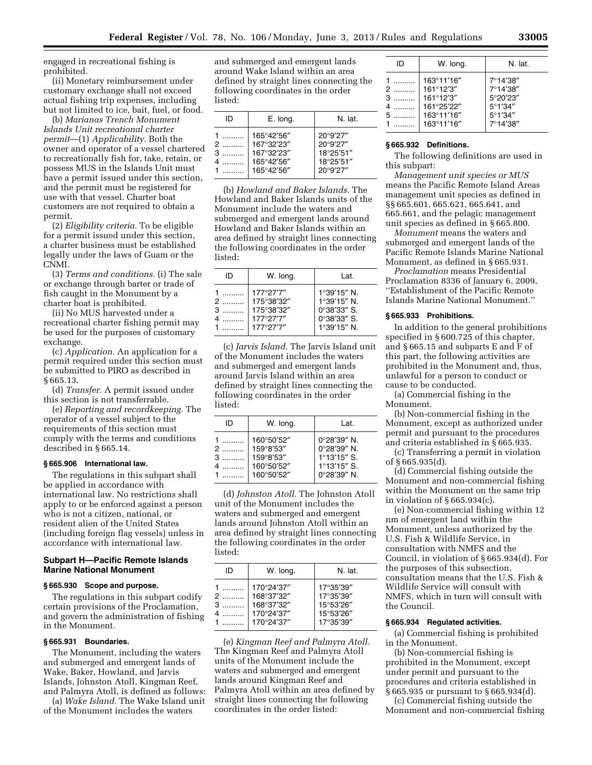engaged in recreational fishing is prohibited.

(ii) Monetary reimbursement under customary exchange shall not exceed actual fishing trip expenses, including but not limited to ice, bait, fuel, or food.

(b) *Marianas Trench Monument Islands Unit recreational charter permit*—(1) *Applicability.* Both the owner and operator of a vessel chartered to recreationally fish for, take, retain, or possess MUS in the Islands Unit must have a permit issued under this section, and the permit must be registered for use with that vessel. Charter boat customers are not required to obtain a permit.

(2) *Eligibility criteria.* To be eligible for a permit issued under this section, a charter business must be established legally under the laws of Guam or the CNMI.

(3) *Terms and conditions.* (i) The sale or exchange through barter or trade of fish caught in the Monument by a charter boat is prohibited.

(ii) No MUS harvested under a recreational charter fishing permit may be used for the purposes of customary exchange.

(c) *Application.* An application for a permit required under this section must be submitted to PIRO as described in § 665.13.

(d) *Transfer.* A permit issued under this section is not transferrable.

(e) *Reporting and recordkeeping.* The operator of a vessel subject to the requirements of this section must comply with the terms and conditions described in § 665.14.

# **§ 665.906 International law.**

The regulations in this subpart shall be applied in accordance with international law. No restrictions shall apply to or be enforced against a person who is not a citizen, national, or resident alien of the United States (including foreign flag vessels) unless in accordance with international law.

## **Subpart H—Pacific Remote Islands Marine National Monument**

#### **§ 665.930 Scope and purpose.**

The regulations in this subpart codify certain provisions of the Proclamation, and govern the administration of fishing in the Monument.

### **§ 665.931 Boundaries.**

The Monument, including the waters and submerged and emergent lands of Wake, Baker, Howland, and Jarvis Islands, Johnston Atoll, Kingman Reef, and Palmyra Atoll, is defined as follows:

(a) *Wake Island.* The Wake Island unit of the Monument includes the waters

and submerged and emergent lands around Wake Island within an area defined by straight lines connecting the following coordinates in the order listed:

| ID          | E. long.                                                           | N. lat.                                                    |
|-------------|--------------------------------------------------------------------|------------------------------------------------------------|
| 1<br>3<br>4 | 165°42'56"<br>167°32'23"<br>167°32'23"<br>165°42'56"<br>165°42'56" | 20°9'27"<br>20°9'27"<br>18°25'51"<br>18°25'51"<br>20°9'27" |

(b) *Howland and Baker Islands.* The Howland and Baker Islands units of the Monument include the waters and submerged and emergent lands around Howland and Baker Islands within an area defined by straight lines connecting the following coordinates in the order listed:

| ID | W. long.                                                        | l at.                                                                                       |
|----|-----------------------------------------------------------------|---------------------------------------------------------------------------------------------|
|    | 177°27'7"<br>175°38'32"<br>175°38'32"<br>177°27'7"<br>177°27'7" | 1°39'15" N.<br>1°39'15" N.<br>$0^{\circ}38'33''$ S.<br>$0^{\circ}38'33''$ S.<br>1°39'15" N. |

(c) *Jarvis Island.* The Jarvis Island unit of the Monument includes the waters and submerged and emergent lands around Jarvis Island within an area defined by straight lines connecting the following coordinates in the order listed:

| ID | W. long.                                                         | Lat.                                                                                        |
|----|------------------------------------------------------------------|---------------------------------------------------------------------------------------------|
| 3  | 160°50'52"<br>159°8'53"<br>159°8'53"<br>160°50'52"<br>160°50'52" | 0°28'39" N.<br>$0^{\circ}28'39''$ N.<br>$1^{\circ}13'15''$ S.<br>1°13'15" S.<br>0°28'39" N. |

(d) *Johnston Atoll.* The Johnston Atoll unit of the Monument includes the waters and submerged and emergent lands around Johnston Atoll within an area defined by straight lines connecting the following coordinates in the order listed:

| ID                 | W. Iong.                                                           | N. lat.                                                       |
|--------------------|--------------------------------------------------------------------|---------------------------------------------------------------|
| $\mathcal{P}$<br>3 | 170°24'37"<br>168°37'32"<br>168°37'32"<br>170°24'37"<br>170°24'37" | 17°35'39"<br>17°35'39"<br>15°53'26"<br>15°53'26"<br>17°35'39" |

(e) *Kingman Reef and Palmyra Atoll.*  The Kingman Reef and Palmyra Atoll units of the Monument include the waters and submerged and emergent lands around Kingman Reef and Palmyra Atoll within an area defined by straight lines connecting the following coordinates in the order listed:

| ID                    | W. long.                                                                       | N. lat.                                                                                |
|-----------------------|--------------------------------------------------------------------------------|----------------------------------------------------------------------------------------|
| 1<br>3<br>4<br>5<br>1 | 163°11'16"<br>161°12'3"<br>161°12'3"<br>161°25'22"<br>163°11'16"<br>163°11'16" | 7°14'38"<br>7°14'38"<br>5°20'23"<br>$5^{\circ}1'34''$<br>$5^{\circ}1'34''$<br>7°14'38" |

### **§ 665.932 Definitions.**

The following definitions are used in this subpart:

*Management unit species or MUS*  means the Pacific Remote Island Areas management unit species as defined in §§ 665.601, 665.621, 665.641, and 665.661, and the pelagic management unit species as defined in § 665.800.

*Monument* means the waters and submerged and emergent lands of the Pacific Remote Islands Marine National Monument, as defined in § 665.931.

*Proclamation* means Presidential Proclamation 8336 of January 6, 2009, ''Establishment of the Pacific Remote Islands Marine National Monument.''

#### **§ 665.933 Prohibitions.**

In addition to the general prohibitions specified in § 600.725 of this chapter, and § 665.15 and subparts E and F of this part, the following activities are prohibited in the Monument and, thus, unlawful for a person to conduct or cause to be conducted.

(a) Commercial fishing in the Monument.

(b) Non-commercial fishing in the Monument, except as authorized under permit and pursuant to the procedures and criteria established in § 665.935.

(c) Transferring a permit in violation of § 665.935(d).

(d) Commercial fishing outside the Monument and non-commercial fishing within the Monument on the same trip in violation of § 665.934(c).

(e) Non-commercial fishing within 12 nm of emergent land within the Monument, unless authorized by the U.S. Fish & Wildlife Service, in consultation with NMFS and the Council, in violation of § 665.934(d). For the purposes of this subsection, consultation means that the U.S. Fish & Wildlife Service will consult with NMFS, which in turn will consult with the Council.

## **§ 665.934 Regulated activities.**

(a) Commercial fishing is prohibited in the Monument.

(b) Non-commercial fishing is prohibited in the Monument, except under permit and pursuant to the procedures and criteria established in § 665.935 or pursuant to § 665.934(d).

(c) Commercial fishing outside the Monument and non-commercial fishing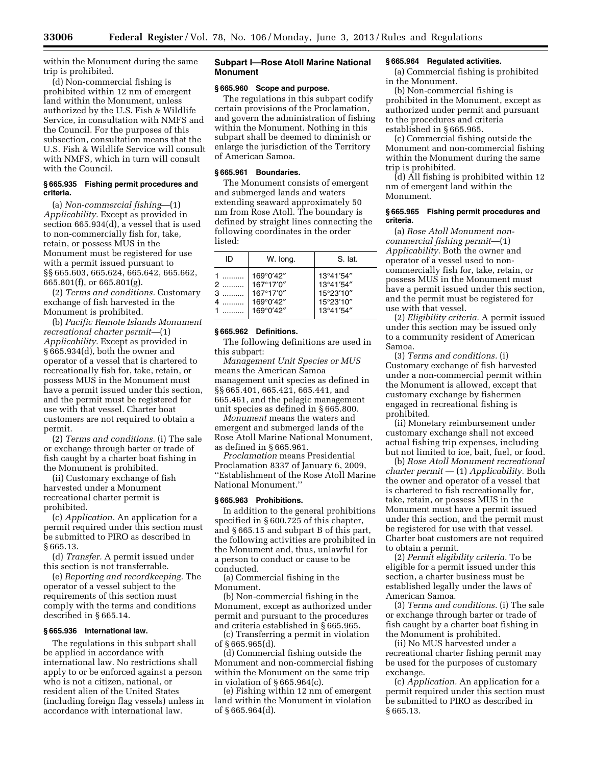within the Monument during the same trip is prohibited.

(d) Non-commercial fishing is prohibited within 12 nm of emergent land within the Monument, unless authorized by the U.S. Fish & Wildlife Service, in consultation with NMFS and the Council. For the purposes of this subsection, consultation means that the U.S. Fish & Wildlife Service will consult with NMFS, which in turn will consult with the Council.

## **§ 665.935 Fishing permit procedures and criteria.**

(a) *Non-commercial fishing*—(1) *Applicability.* Except as provided in section 665.934(d), a vessel that is used to non-commercially fish for, take, retain, or possess MUS in the Monument must be registered for use with a permit issued pursuant to §§ 665.603, 665.624, 665.642, 665.662, 665.801(f), or 665.801(g).

(2) *Terms and conditions.* Customary exchange of fish harvested in the Monument is prohibited.

(b) *Pacific Remote Islands Monument recreational charter permit—*(1) *Applicability.* Except as provided in § 665.934(d), both the owner and operator of a vessel that is chartered to recreationally fish for, take, retain, or possess MUS in the Monument must have a permit issued under this section, and the permit must be registered for use with that vessel. Charter boat customers are not required to obtain a permit.

(2) *Terms and conditions.* (i) The sale or exchange through barter or trade of fish caught by a charter boat fishing in the Monument is prohibited.

(ii) Customary exchange of fish harvested under a Monument recreational charter permit is prohibited.

(c) *Application.* An application for a permit required under this section must be submitted to PIRO as described in § 665.13.

(d) *Transfer.* A permit issued under this section is not transferrable.

(e) *Reporting and recordkeeping.* The operator of a vessel subject to the requirements of this section must comply with the terms and conditions described in § 665.14.

# **§ 665.936 International law.**

The regulations in this subpart shall be applied in accordance with international law. No restrictions shall apply to or be enforced against a person who is not a citizen, national, or resident alien of the United States (including foreign flag vessels) unless in accordance with international law.

## **Subpart I—Rose Atoll Marine National Monument**

# **§ 665.960 Scope and purpose.**

The regulations in this subpart codify certain provisions of the Proclamation, and govern the administration of fishing within the Monument. Nothing in this subpart shall be deemed to diminish or enlarge the jurisdiction of the Territory of American Samoa.

#### **§ 665.961 Boundaries.**

The Monument consists of emergent and submerged lands and waters extending seaward approximately 50 nm from Rose Atoll. The boundary is defined by straight lines connecting the following coordinates in the order listed:

| חו      | W. long.                                                      | S. lat.                                                       |
|---------|---------------------------------------------------------------|---------------------------------------------------------------|
| 2.<br>3 | 169°0'42"<br>167°17'0"<br>167°17'0"<br>169°0'42"<br>169°0'42" | 13°41'54"<br>13°41'54"<br>15°23'10"<br>15°23'10"<br>13°41'54" |

### **§ 665.962 Definitions.**

The following definitions are used in this subpart:

*Management Unit Species or MUS*  means the American Samoa management unit species as defined in §§ 665.401, 665.421, 665.441, and 665.461, and the pelagic management unit species as defined in § 665.800.

*Monument* means the waters and emergent and submerged lands of the Rose Atoll Marine National Monument, as defined in § 665.961.

*Proclamation* means Presidential Proclamation 8337 of January 6, 2009, ''Establishment of the Rose Atoll Marine National Monument.''

#### **§ 665.963 Prohibitions.**

In addition to the general prohibitions specified in § 600.725 of this chapter, and § 665.15 and subpart B of this part, the following activities are prohibited in the Monument and, thus, unlawful for a person to conduct or cause to be conducted.

(a) Commercial fishing in the Monument.

(b) Non-commercial fishing in the Monument, except as authorized under permit and pursuant to the procedures and criteria established in § 665.965.

(c) Transferring a permit in violation of § 665.965(d).

(d) Commercial fishing outside the Monument and non-commercial fishing within the Monument on the same trip in violation of § 665.964(c).

(e) Fishing within 12 nm of emergent land within the Monument in violation of § 665.964(d).

# **§ 665.964 Regulated activities.**

(a) Commercial fishing is prohibited in the Monument.

(b) Non-commercial fishing is prohibited in the Monument, except as authorized under permit and pursuant to the procedures and criteria established in § 665.965.

(c) Commercial fishing outside the Monument and non-commercial fishing within the Monument during the same trip is prohibited.

(d) All fishing is prohibited within 12 nm of emergent land within the Monument.

### **§ 665.965 Fishing permit procedures and criteria.**

(a) *Rose Atoll Monument noncommercial fishing permit*—(1) *Applicability.* Both the owner and operator of a vessel used to noncommercially fish for, take, retain, or possess MUS in the Monument must have a permit issued under this section, and the permit must be registered for use with that vessel.

(2) *Eligibility criteria.* A permit issued under this section may be issued only to a community resident of American Samoa.

(3) *Terms and conditions.* (i) Customary exchange of fish harvested under a non-commercial permit within the Monument is allowed, except that customary exchange by fishermen engaged in recreational fishing is prohibited.

(ii) Monetary reimbursement under customary exchange shall not exceed actual fishing trip expenses, including but not limited to ice, bait, fuel, or food.

(b) *Rose Atoll Monument recreational charter permit —* (1) *Applicability.* Both the owner and operator of a vessel that is chartered to fish recreationally for, take, retain, or possess MUS in the Monument must have a permit issued under this section, and the permit must be registered for use with that vessel. Charter boat customers are not required to obtain a permit.

(2) *Permit eligibility criteria.* To be eligible for a permit issued under this section, a charter business must be established legally under the laws of American Samoa.

(3) *Terms and conditions.* (i) The sale or exchange through barter or trade of fish caught by a charter boat fishing in the Monument is prohibited.

(ii) No MUS harvested under a recreational charter fishing permit may be used for the purposes of customary exchange.

(c) *Application.* An application for a permit required under this section must be submitted to PIRO as described in § 665.13.